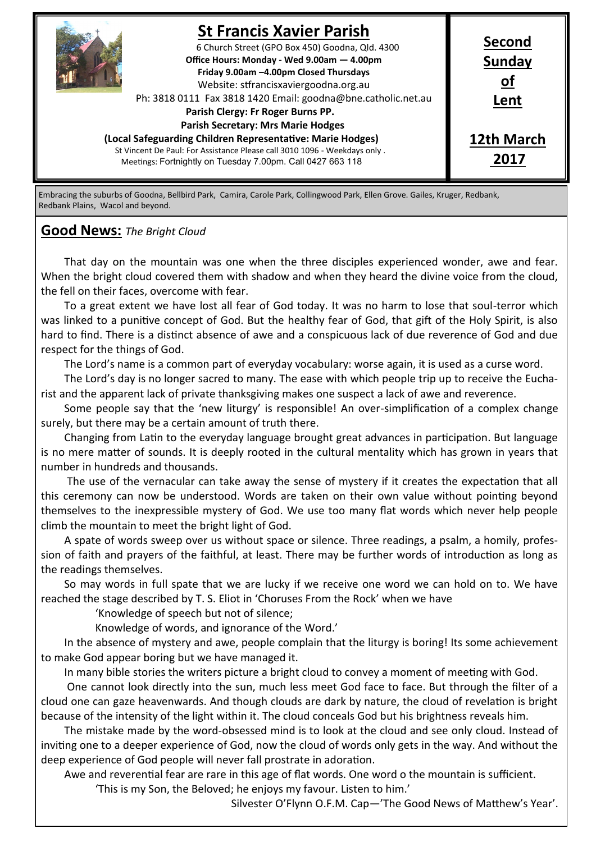

Embracing the suburbs of Goodna, Bellbird Park, Camira, Carole Park, Collingwood Park, Ellen Grove. Gailes, Kruger, Redbank, Redbank Plains, Wacol and beyond.

### **Good News:** *The Bright Cloud*

That day on the mountain was one when the three disciples experienced wonder, awe and fear. When the bright cloud covered them with shadow and when they heard the divine voice from the cloud, the fell on their faces, overcome with fear.

To a great extent we have lost all fear of God today. It was no harm to lose that soul-terror which was linked to a punitive concept of God. But the healthy fear of God, that gift of the Holy Spirit, is also hard to find. There is a distinct absence of awe and a conspicuous lack of due reverence of God and due respect for the things of God.

The Lord's name is a common part of everyday vocabulary: worse again, it is used as a curse word.

The Lord's day is no longer sacred to many. The ease with which people trip up to receive the Eucharist and the apparent lack of private thanksgiving makes one suspect a lack of awe and reverence.

Some people say that the 'new liturgy' is responsible! An over-simplification of a complex change surely, but there may be a certain amount of truth there.

Changing from Latin to the everyday language brought great advances in participation. But language is no mere matter of sounds. It is deeply rooted in the cultural mentality which has grown in years that number in hundreds and thousands.

The use of the vernacular can take away the sense of mystery if it creates the expectation that all this ceremony can now be understood. Words are taken on their own value without pointing beyond themselves to the inexpressible mystery of God. We use too many flat words which never help people climb the mountain to meet the bright light of God.

A spate of words sweep over us without space or silence. Three readings, a psalm, a homily, profession of faith and prayers of the faithful, at least. There may be further words of introduction as long as the readings themselves.

So may words in full spate that we are lucky if we receive one word we can hold on to. We have reached the stage described by T. S. Eliot in 'Choruses From the Rock' when we have

'Knowledge of speech but not of silence;

Knowledge of words, and ignorance of the Word.'

In the absence of mystery and awe, people complain that the liturgy is boring! Its some achievement to make God appear boring but we have managed it.

In many bible stories the writers picture a bright cloud to convey a moment of meeting with God.

One cannot look directly into the sun, much less meet God face to face. But through the filter of a cloud one can gaze heavenwards. And though clouds are dark by nature, the cloud of revelation is bright because of the intensity of the light within it. The cloud conceals God but his brightness reveals him.

The mistake made by the word-obsessed mind is to look at the cloud and see only cloud. Instead of inviting one to a deeper experience of God, now the cloud of words only gets in the way. And without the deep experience of God people will never fall prostrate in adoration.

Awe and reverential fear are rare in this age of flat words. One word o the mountain is sufficient.

'This is my Son, the Beloved; he enjoys my favour. Listen to him.'

Silvester O'Flynn O.F.M. Cap—'The Good News of Matthew's Year'.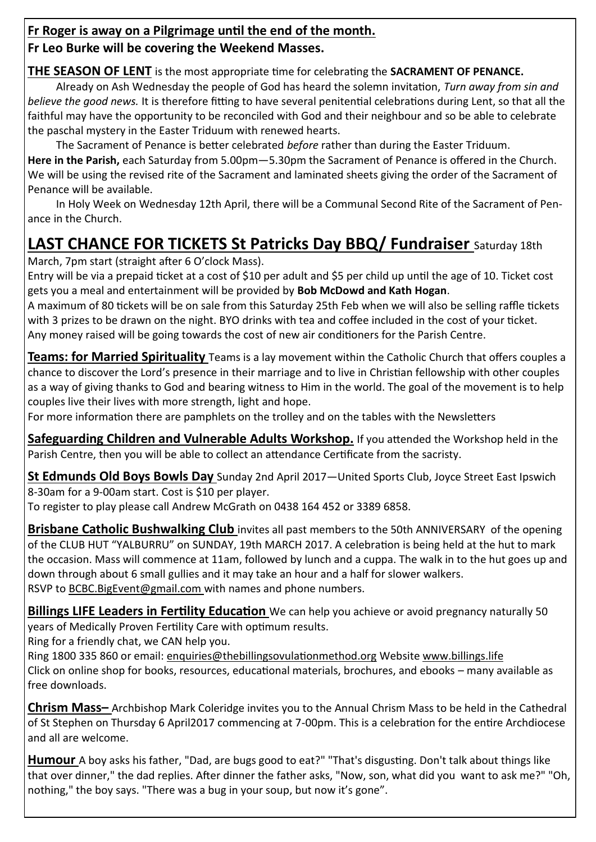### **Fr Roger is away on a Pilgrimage until the end of the month.**

## **Fr Leo Burke will be covering the Weekend Masses.**

## **THE SEASON OF LENT** is the most appropriate time for celebrating the **SACRAMENT OF PENANCE.**

Already on Ash Wednesday the people of God has heard the solemn invitation, *Turn away from sin and believe the good news.* It is therefore fitting to have several penitential celebrations during Lent, so that all the faithful may have the opportunity to be reconciled with God and their neighbour and so be able to celebrate the paschal mystery in the Easter Triduum with renewed hearts.

The Sacrament of Penance is better celebrated *before* rather than during the Easter Triduum. **Here in the Parish,** each Saturday from 5.00pm—5.30pm the Sacrament of Penance is offered in the Church. We will be using the revised rite of the Sacrament and laminated sheets giving the order of the Sacrament of Penance will be available.

In Holy Week on Wednesday 12th April, there will be a Communal Second Rite of the Sacrament of Penance in the Church.

# **LAST CHANCE FOR TICKETS St Patricks Day BBQ/ Fundraiser** Saturday 18th

March, 7pm start (straight after 6 O'clock Mass).

Entry will be via a prepaid ticket at a cost of \$10 per adult and \$5 per child up until the age of 10. Ticket cost gets you a meal and entertainment will be provided by **Bob McDowd and Kath Hogan**.

A maximum of 80 tickets will be on sale from this Saturday 25th Feb when we will also be selling raffle tickets with 3 prizes to be drawn on the night. BYO drinks with tea and coffee included in the cost of your ticket. Any money raised will be going towards the cost of new air conditioners for the Parish Centre.

**Teams: for Married Spirituality** Teams is a lay movement within the Catholic Church that offers couples a chance to discover the Lord's presence in their marriage and to live in Christian fellowship with other couples as a way of giving thanks to God and bearing witness to Him in the world. The goal of the movement is to help couples live their lives with more strength, light and hope.

For more information there are pamphlets on the trolley and on the tables with the Newsletters

**Safeguarding Children and Vulnerable Adults Workshop.** If you attended the Workshop held in the Parish Centre, then you will be able to collect an attendance Certificate from the sacristy.

**St Edmunds Old Boys Bowls Day** Sunday 2nd April 2017—United Sports Club, Joyce Street East Ipswich 8-30am for a 9-00am start. Cost is \$10 per player.

To register to play please call Andrew McGrath on 0438 164 452 or 3389 6858.

**Brisbane Catholic Bushwalking Club** invites all past members to the 50th ANNIVERSARY of the opening of the CLUB HUT "YALBURRU" on SUNDAY, 19th MARCH 2017. A celebration is being held at the hut to mark the occasion. Mass will commence at 11am, followed by lunch and a cuppa. The walk in to the hut goes up and down through about 6 small gullies and it may take an hour and a half for slower walkers. RSVP to BCBC.BigEvent@gmail.com with names and phone numbers.

**Billings LIFE Leaders in Fertility Education** We can help you achieve or avoid pregnancy naturally 50 years of Medically Proven Fertility Care with optimum results.

Ring for a friendly chat, we CAN help you.

Ring 1800 335 860 or email: enquiries@thebillingsovulationmethod.org Website www.billings.life Click on online shop for books, resources, educational materials, brochures, and ebooks – many available as free downloads.

**Chrism Mass–** Archbishop Mark Coleridge invites you to the Annual Chrism Mass to be held in the Cathedral of St Stephen on Thursday 6 April2017 commencing at 7-00pm. This is a celebration for the entire Archdiocese and all are welcome.

**Humour** A boy asks his father, "Dad, are bugs good to eat?" "That's disgusting. Don't talk about things like that over dinner," the dad replies. After dinner the father asks, "Now, son, what did you want to ask me?" "Oh, nothing," the boy says. "There was a bug in your soup, but now it's gone".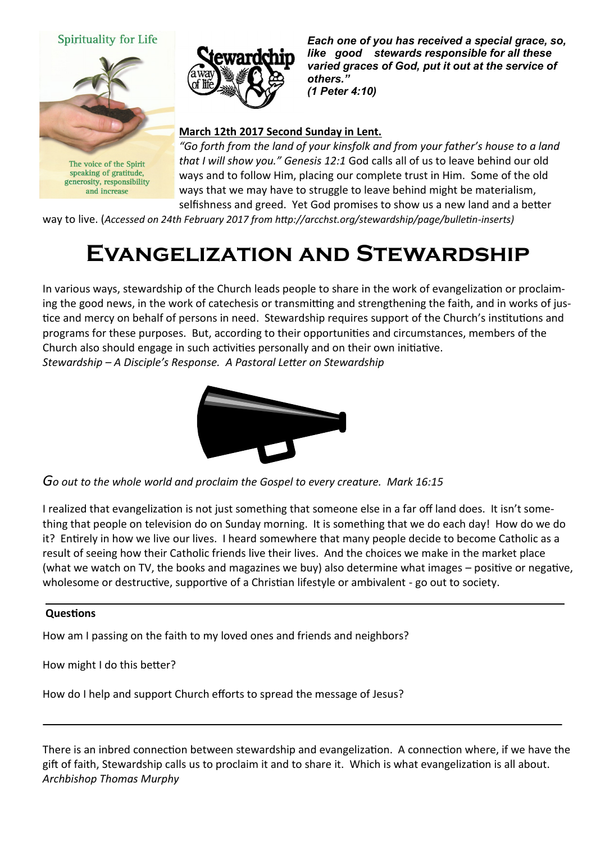#### **Spirituality for Life**



The voice of the Spirit speaking of gratitude, generosity, responsibility and increase



*Each one of you has received a special grace, so, like good stewards responsible for all these varied graces of God, put it out at the service of others." (1 Peter 4:10)* 

#### **March 12th 2017 Second Sunday in Lent.**

*"Go forth from the land of your kinsfolk and from your father's house to a land that I will show you." Genesis 12:1* God calls all of us to leave behind our old ways and to follow Him, placing our complete trust in Him. Some of the old ways that we may have to struggle to leave behind might be materialism, selfishness and greed. Yet God promises to show us a new land and a better

way to live. (*Accessed on 24th February 2017 from http://arcchst.org/stewardship/page/bulletin-inserts)*

## **Evangelization and Stewardship**

In various ways, stewardship of the Church leads people to share in the work of evangelization or proclaiming the good news, in the work of catechesis or transmitting and strengthening the faith, and in works of justice and mercy on behalf of persons in need. Stewardship requires support of the Church's institutions and programs for these purposes. But, according to their opportunities and circumstances, members of the Church also should engage in such activities personally and on their own initiative. *Stewardship – A Disciple's Response. A Pastoral Letter on Stewardship*



*Go out to the whole world and proclaim the Gospel to every creature. Mark 16:15*

I realized that evangelization is not just something that someone else in a far off land does. It isn't something that people on television do on Sunday morning. It is something that we do each day! How do we do it? Entirely in how we live our lives. I heard somewhere that many people decide to become Catholic as a result of seeing how their Catholic friends live their lives. And the choices we make in the market place (what we watch on TV, the books and magazines we buy) also determine what images – positive or negative, wholesome or destructive, supportive of a Christian lifestyle or ambivalent - go out to society.

#### **Questions**

How am I passing on the faith to my loved ones and friends and neighbors?

How might I do this better?

How do I help and support Church efforts to spread the message of Jesus?

There is an inbred connection between stewardship and evangelization. A connection where, if we have the gift of faith, Stewardship calls us to proclaim it and to share it. Which is what evangelization is all about. *Archbishop Thomas Murphy*